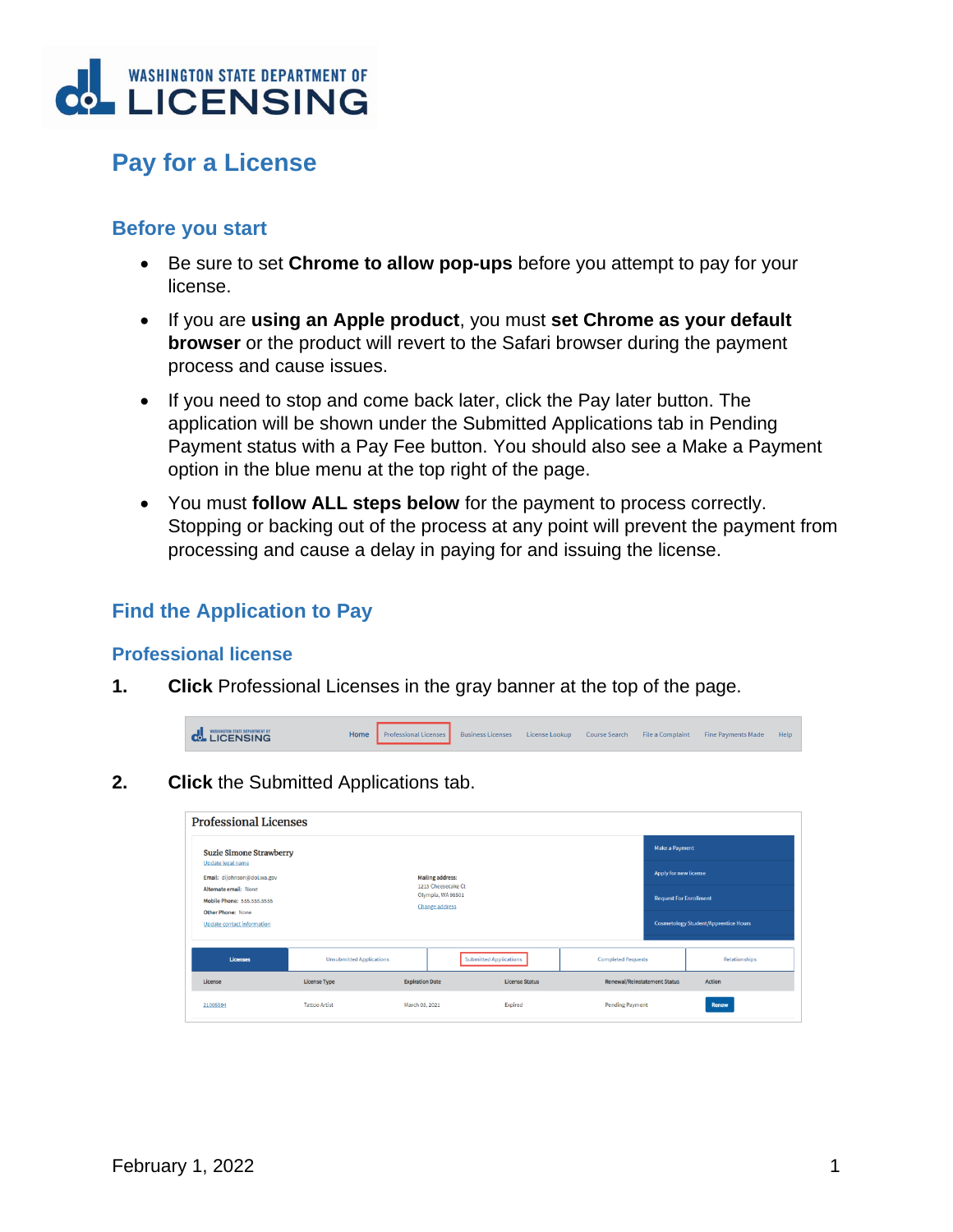

# **Pay for a License**

### **Before you start**

- Be sure to set **Chrome to allow pop-ups** before you attempt to pay for your license.
- If you are **using an Apple product**, you must **set Chrome as your default browser** or the product will revert to the Safari browser during the payment process and cause issues.
- If you need to stop and come back later, click the Pay later button. The application will be shown under the Submitted Applications tab in Pending Payment status with a Pay Fee button. You should also see a Make a Payment option in the blue menu at the top right of the page.
- You must **follow ALL steps below** for the payment to process correctly. Stopping or backing out of the process at any point will prevent the payment from processing and cause a delay in paying for and issuing the license.

## **Find the Application to Pay**

#### **Professional license**

**1. Click** Professional Licenses in the gray banner at the top of the page.

| <b>COLLETORS HINGTON STATE DEPARTMENT OF</b> |  |  |  | Home Professional Licenses Business Licenses License Lookup Course Search File a Complaint Fine Payments Made | Help |
|----------------------------------------------|--|--|--|---------------------------------------------------------------------------------------------------------------|------|
|                                              |  |  |  |                                                                                                               |      |

**2. Click** the Submitted Applications tab.

| <b>Professional Licenses</b>                               |                                 |                                               |                               |                                     |                               |                                             |
|------------------------------------------------------------|---------------------------------|-----------------------------------------------|-------------------------------|-------------------------------------|-------------------------------|---------------------------------------------|
| <b>Suzie Simone Strawberry</b><br>Update legal name        |                                 |                                               |                               |                                     | <b>Make a Payment</b>         |                                             |
| Email: dijohnson@dol.wa.gov                                |                                 | <b>Mailing address:</b><br>1215 Cheesecake Ct |                               |                                     | Apply for new license         |                                             |
| Alternate email: None<br><b>Mobile Phone: 555,555,5555</b> |                                 | Olympia, WA 98501<br><b>Change address</b>    |                               |                                     | <b>Request For Enrollment</b> |                                             |
| <b>Other Phone: None</b><br>Update contact information     |                                 |                                               |                               |                                     |                               | <b>Cosmetology Student/Apprentice Hours</b> |
| <b>Licenses</b>                                            | <b>Unsubmitted Applications</b> |                                               | <b>Submitted Applications</b> | <b>Completed Requests</b>           |                               | Relationships                               |
| License                                                    | <b>License Type</b>             | <b>Expiration Date</b>                        | <b>License Status</b>         | <b>Renewal/Reinstatement Status</b> |                               | <b>Action</b>                               |
| 21005594                                                   | <b>Tattoo Artist</b>            | March 03, 2021                                | Expired                       | <b>Pending Payment</b>              |                               | Renew                                       |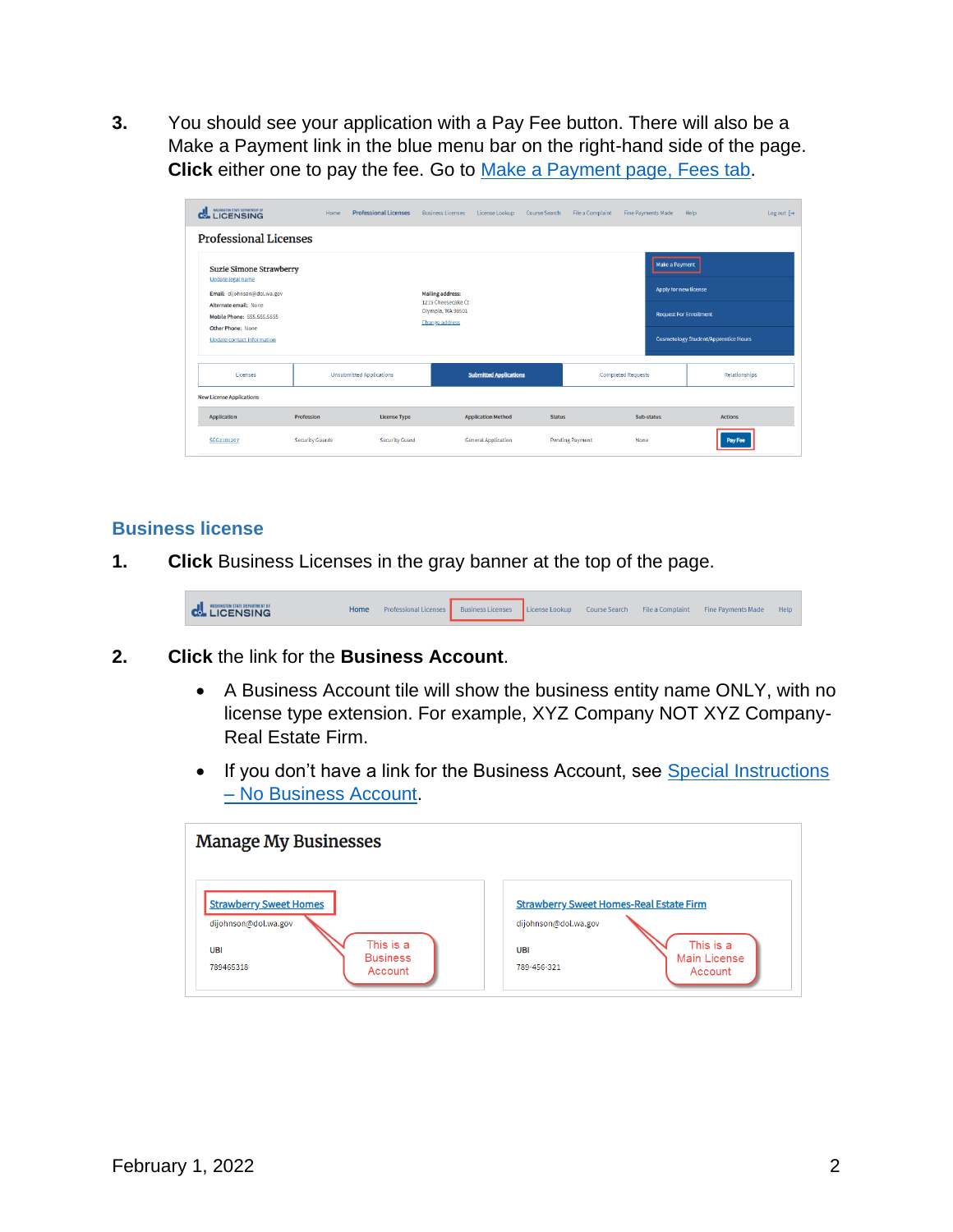**3.** You should see your application with a Pay Fee button. There will also be a Make a Payment link in the blue menu bar on the right-hand side of the page. **Click** either one to pay the fee. Go to [Make a Payment page, Fees](#page-2-0) tab.

| WASHING STATE OF ARTNERT OF                                                        | Home                   | <b>Professional Licenses</b>    | <b>Rusiness Licenses</b>                      | License Lookup                | <b>Course Search</b> | File a Complaint       | <b>Fine Payments Made</b>               | Log out $\lceil \rightarrow$<br>Help        |
|------------------------------------------------------------------------------------|------------------------|---------------------------------|-----------------------------------------------|-------------------------------|----------------------|------------------------|-----------------------------------------|---------------------------------------------|
| <b>Professional Licenses</b>                                                       |                        |                                 |                                               |                               |                      |                        |                                         |                                             |
| <b>Suzie Simone Strawberry</b><br>Update legal name<br>Email: dijohnson@dol.wa.gov |                        |                                 | <b>Mailing address:</b><br>1215 Cheesecake Ct |                               |                      |                        | Make a Payment<br>Apply for new license |                                             |
| Alternate email: None<br><b>Mobile Phone: 555.555.5555</b><br>Other Phone: None    |                        |                                 | Olympia, WA 98501<br><b>Change address</b>    |                               |                      |                        | <b>Request For Enrollment</b>           |                                             |
| <b>Update contact information</b>                                                  |                        |                                 |                                               |                               |                      |                        |                                         | <b>Cosmetology Student/Apprentice Hours</b> |
| Licenses                                                                           |                        | <b>Unsubmitted Applications</b> |                                               | <b>Submitted Applications</b> |                      |                        | <b>Completed Requests</b>               | <b>Relationships</b>                        |
| <b>New License Applications</b>                                                    |                        |                                 |                                               |                               |                      |                        |                                         |                                             |
| Application                                                                        | Profession             | <b>License Type</b>             |                                               | <b>Application Method</b>     | <b>Status</b>        |                        | Sub-status                              | <b>Actions</b>                              |
| SEG2101207                                                                         | <b>Security Guards</b> | <b>Security Guard</b>           |                                               | <b>General Application</b>    |                      | <b>Pending Payment</b> | None                                    | Pay Fee                                     |

#### **Business license**

**1. Click** Business Licenses in the gray banner at the top of the page.



- **2. Click** the link for the **Business Account**.
	- A Business Account tile will show the business entity name ONLY, with no license type extension. For example, XYZ Company NOT XYZ Company-Real Estate Firm.
	- If you don't have a link for the Business Account, see [Special Instructions](#page-10-0) – [No Business Account.](#page-10-0)

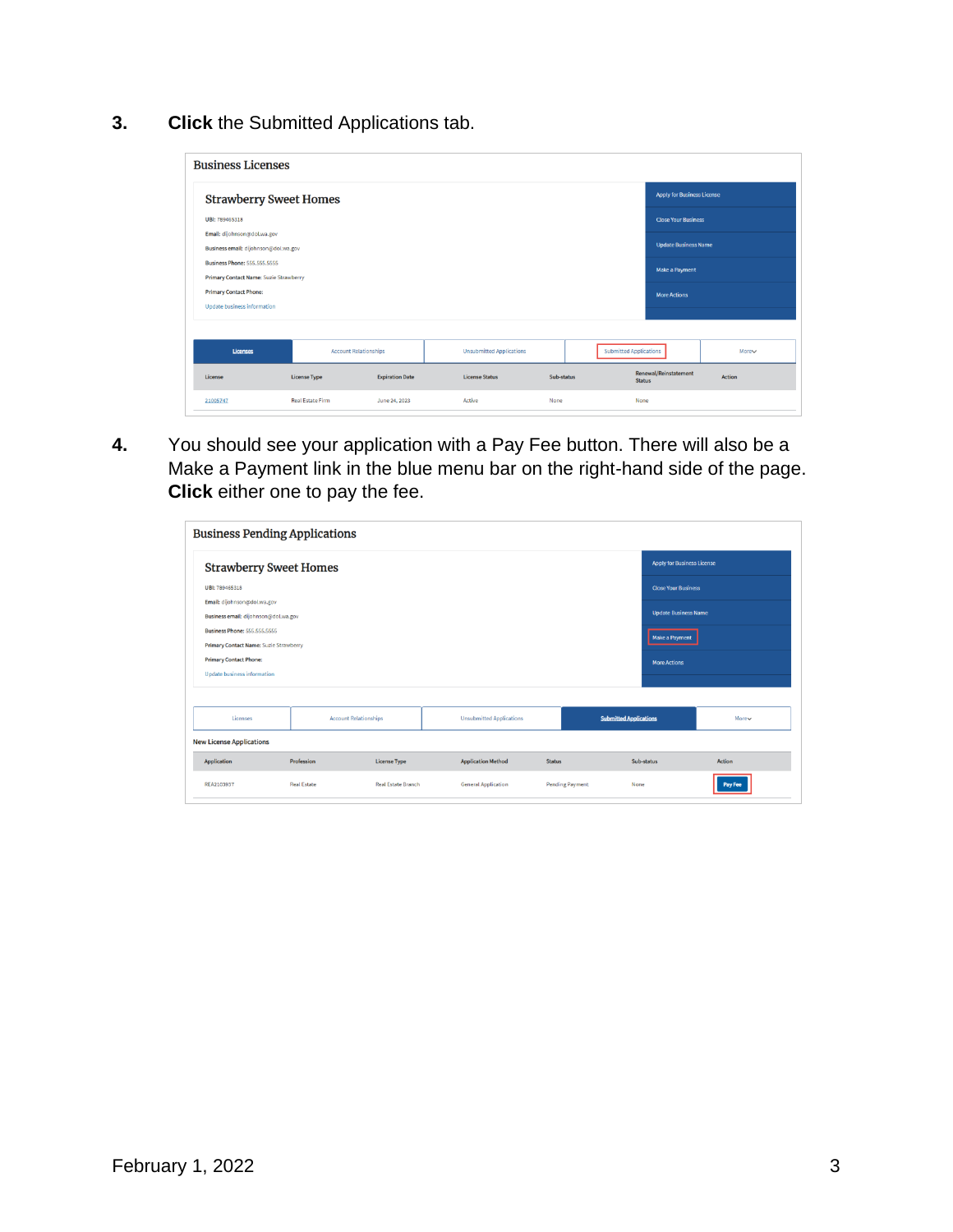**3. Click** the Submitted Applications tab.

| <b>Business Licenses</b>                                                      |                              |                        |        |                                 |      |            |                               |                                   |        |
|-------------------------------------------------------------------------------|------------------------------|------------------------|--------|---------------------------------|------|------------|-------------------------------|-----------------------------------|--------|
| <b>Strawberry Sweet Homes</b>                                                 |                              |                        |        |                                 |      |            |                               | <b>Apply for Business License</b> |        |
| UBI: 789465318                                                                |                              |                        |        |                                 |      |            |                               | <b>Close Your Business</b>        |        |
| Email: dijohnson@dol.wa.gov<br>Business email: dijohnson@dol.wa.gov           |                              |                        |        |                                 |      |            |                               | <b>Update Business Name</b>       |        |
| <b>Business Phone: 555.555.5555</b><br>Primary Contact Name: Suzie Strawberry |                              |                        |        |                                 |      |            |                               | <b>Make a Payment</b>             |        |
| <b>Primary Contact Phone:</b>                                                 |                              |                        |        |                                 |      |            |                               | <b>More Actions</b>               |        |
| <b>Update business information</b>                                            |                              |                        |        |                                 |      |            |                               |                                   |        |
| <b>Licenses</b>                                                               | <b>Account Relationships</b> |                        |        | <b>Unsubmitted Applications</b> |      |            | <b>Submitted Applications</b> |                                   | More   |
| License                                                                       | <b>License Type</b>          | <b>Expiration Date</b> |        | <b>License Status</b>           |      | Sub-status | <b>Status</b>                 | Renewal/Reinstatement             | Action |
| 21005747                                                                      | <b>Real Estate Firm</b>      | June 24, 2023          | Active |                                 | None |            | None                          |                                   |        |

**4.** You should see your application with a Pay Fee button. There will also be a Make a Payment link in the blue menu bar on the right-hand side of the page. **Click** either one to pay the fee.

<span id="page-2-0"></span>

| <b>Business Pending Applications</b>                                          |                    |                              |                                 |                        |                                   |                |
|-------------------------------------------------------------------------------|--------------------|------------------------------|---------------------------------|------------------------|-----------------------------------|----------------|
| <b>Strawberry Sweet Homes</b>                                                 |                    |                              |                                 |                        | <b>Apply for Business License</b> |                |
| UBI: 789465318                                                                |                    |                              |                                 |                        | <b>Close Your Business</b>        |                |
| Email: dijohnson@dol.wa.gov<br>Business email: dijohnson@dol.wa.gov           |                    |                              |                                 |                        | <b>Update Business Name</b>       |                |
| <b>Business Phone: 555.555.5555</b><br>Primary Contact Name: Suzie Strawberry |                    |                              |                                 |                        | Make a Payment                    |                |
| <b>Primary Contact Phone:</b><br><b>Update business information</b>           |                    |                              |                                 |                        | <b>More Actions</b>               |                |
| Licenses                                                                      |                    | <b>Account Relationships</b> | <b>Unsubmitted Applications</b> |                        | <b>Submitted Applications</b>     | More           |
| <b>New License Applications</b>                                               |                    |                              |                                 |                        |                                   |                |
| Application                                                                   | Profession         | <b>License Type</b>          | <b>Application Method</b>       | <b>Status</b>          | Sub-status                        | Action         |
| REA2103937                                                                    | <b>Real Estate</b> | <b>Real Estate Branch</b>    | <b>General Application</b>      | <b>Pending Payment</b> | None                              | <b>Pay Fee</b> |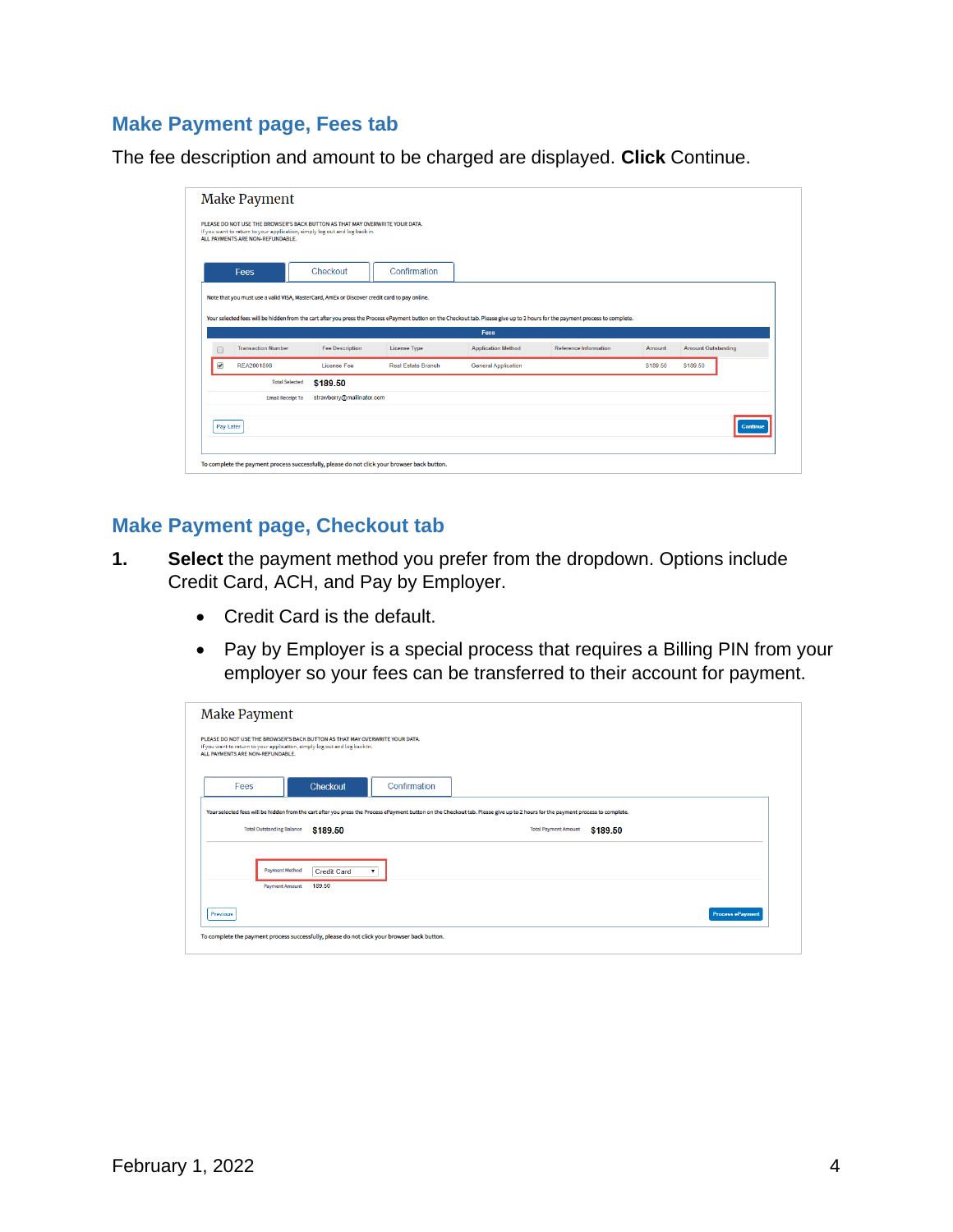### **Make Payment page, Fees tab**

The fee description and amount to be charged are displayed. **Click** Continue.

|                           | Checkout<br>Note that you must use a valid VISA, MasterCard, AmEx or Discover credit card to pay online. | Confirmation        | Fees                                                                                                                     | Your selected fees will be hidden from the cart after you press the Process ePayment button on the Checkout tab. Please give up to 2 hours for the payment process to complete. |          |                           |
|---------------------------|----------------------------------------------------------------------------------------------------------|---------------------|--------------------------------------------------------------------------------------------------------------------------|---------------------------------------------------------------------------------------------------------------------------------------------------------------------------------|----------|---------------------------|
|                           |                                                                                                          |                     |                                                                                                                          |                                                                                                                                                                                 |          |                           |
|                           |                                                                                                          |                     |                                                                                                                          |                                                                                                                                                                                 |          |                           |
|                           |                                                                                                          |                     |                                                                                                                          |                                                                                                                                                                                 |          |                           |
| <b>Transaction Number</b> | <b>Fee Description</b>                                                                                   | <b>License Type</b> | <b>Application Method</b>                                                                                                | <b>Reference Information</b>                                                                                                                                                    | Amount   | <b>Amount Outstanding</b> |
|                           | License Fee                                                                                              | Real Estate Branch  | <b>General Application</b>                                                                                               |                                                                                                                                                                                 | \$189.50 | \$189.50                  |
|                           |                                                                                                          |                     |                                                                                                                          |                                                                                                                                                                                 |          |                           |
|                           |                                                                                                          |                     |                                                                                                                          |                                                                                                                                                                                 |          |                           |
|                           |                                                                                                          |                     |                                                                                                                          |                                                                                                                                                                                 |          | Continue                  |
|                           | REA2001808<br><b>Total Selected</b><br><b>Email Receipt To</b>                                           | \$189.50            | strawberry@mailinator.com<br>To complete the payment process successfully, please do not click your browser back button. |                                                                                                                                                                                 |          |                           |

#### **Make Payment page, Checkout tab**

- **1. Select** the payment method you prefer from the dropdown. Options include Credit Card, ACH, and Pay by Employer.
	- Credit Card is the default.
	- Pay by Employer is a special process that requires a Billing PIN from your employer so your fees can be transferred to their account for payment.

| Fees                             | Checkout           | Confirmation |                                         |  |
|----------------------------------|--------------------|--------------|-----------------------------------------|--|
| <b>Total Outstanding Balance</b> | \$189.50           |              | <b>Total Payment Amount</b><br>\$189.50 |  |
|                                  |                    |              |                                         |  |
| <b>Payment Method</b>            | <b>Credit Card</b> | $\mathbf{v}$ |                                         |  |
|                                  |                    |              |                                         |  |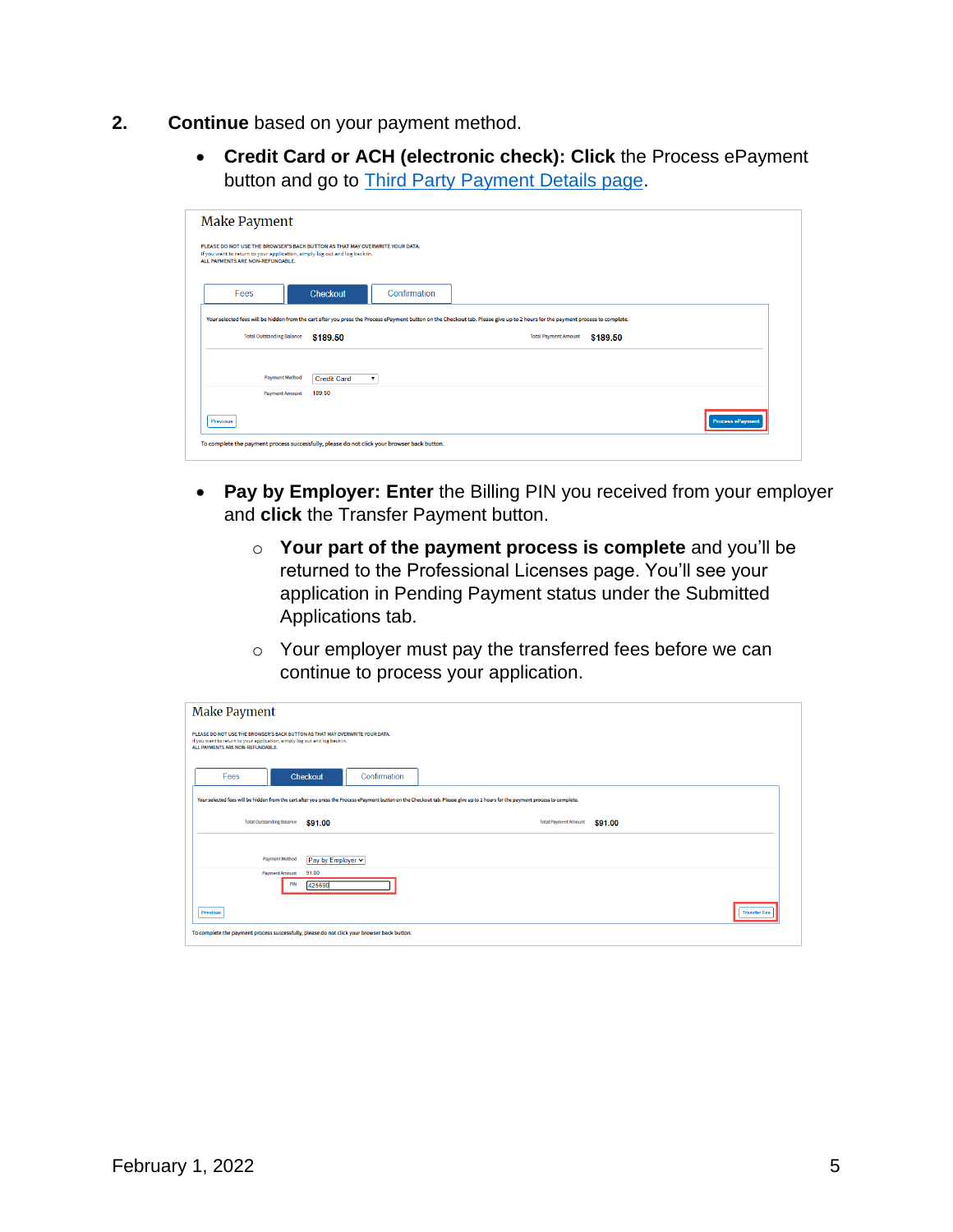- **2. Continue** based on your payment method.
	- **Credit Card or ACH (electronic check): Click** the Process ePayment button and go to [Third Party Payment Details page.](#page-4-0)

| Make Payment                                                                                                                                                                                   |                                                    |              |                             |          |                         |
|------------------------------------------------------------------------------------------------------------------------------------------------------------------------------------------------|----------------------------------------------------|--------------|-----------------------------|----------|-------------------------|
| PLEASE DO NOT USE THE BROWSER'S BACK BUTTON AS THAT MAY OVERWRITE YOUR DATA.<br>If you want to return to your application, simply log out and log back in.<br>ALL PAYMENTS ARE NON-REFUNDABLE. |                                                    |              |                             |          |                         |
| Fees                                                                                                                                                                                           | Checkout                                           | Confirmation |                             |          |                         |
| Your selected fees will be hidden from the cart after you press the Process ePayment button on the Checkout tab. Please give up to 2 hours for the payment process to complete.                |                                                    |              |                             |          |                         |
| <b>Total Outstanding Balance</b>                                                                                                                                                               | \$189.50                                           |              | <b>Total Payment Amount</b> | \$189.50 |                         |
| <b>Payment Method</b>                                                                                                                                                                          | <b>Credit Card</b><br>$\pmb{\mathrm{v}}$<br>189.50 |              |                             |          |                         |
| <b>Payment Amount</b><br><b>Previous</b>                                                                                                                                                       |                                                    |              |                             |          | <b>Process ePayment</b> |
| To complete the payment process successfully, please do not click your browser back button.                                                                                                    |                                                    |              |                             |          |                         |
|                                                                                                                                                                                                |                                                    |              |                             |          |                         |

- **Pay by Employer: Enter** the Billing PIN you received from your employer and **click** the Transfer Payment button.
	- o **Your part of the payment process is complete** and you'll be returned to the Professional Licenses page. You'll see your application in Pending Payment status under the Submitted Applications tab.
	- o Your employer must pay the transferred fees before we can continue to process your application.

<span id="page-4-0"></span>

| Make Payment                                                                                                                                                                                   |                          |                                                                                                                                                                                 |
|------------------------------------------------------------------------------------------------------------------------------------------------------------------------------------------------|--------------------------|---------------------------------------------------------------------------------------------------------------------------------------------------------------------------------|
| PLEASE DO NOT USE THE BROWSER'S BACK BUTTON AS THAT MAY OVERWRITE YOUR DATA.<br>If you want to return to your application, simply log out and log back in.<br>ALL PAYMENTS ARE NON-REFUNDABLE. |                          |                                                                                                                                                                                 |
| Fees                                                                                                                                                                                           | Confirmation<br>Checkout |                                                                                                                                                                                 |
|                                                                                                                                                                                                |                          | Your selected fees will be hidden from the cart after you press the Process ePayment button on the Checkout tab. Please give up to 2 hours for the payment process to complete. |
| <b>Total Outstanding Balance</b>                                                                                                                                                               | \$91.00                  | <b>Total Payment Amount</b><br>\$91.00                                                                                                                                          |
| Payment Method                                                                                                                                                                                 | Pay by Employer v        |                                                                                                                                                                                 |
| <b>Payment Amount</b><br>PIN                                                                                                                                                                   | 91.00<br>425690          |                                                                                                                                                                                 |
| Previous                                                                                                                                                                                       |                          | <b>Transfer Fee</b>                                                                                                                                                             |
|                                                                                                                                                                                                |                          |                                                                                                                                                                                 |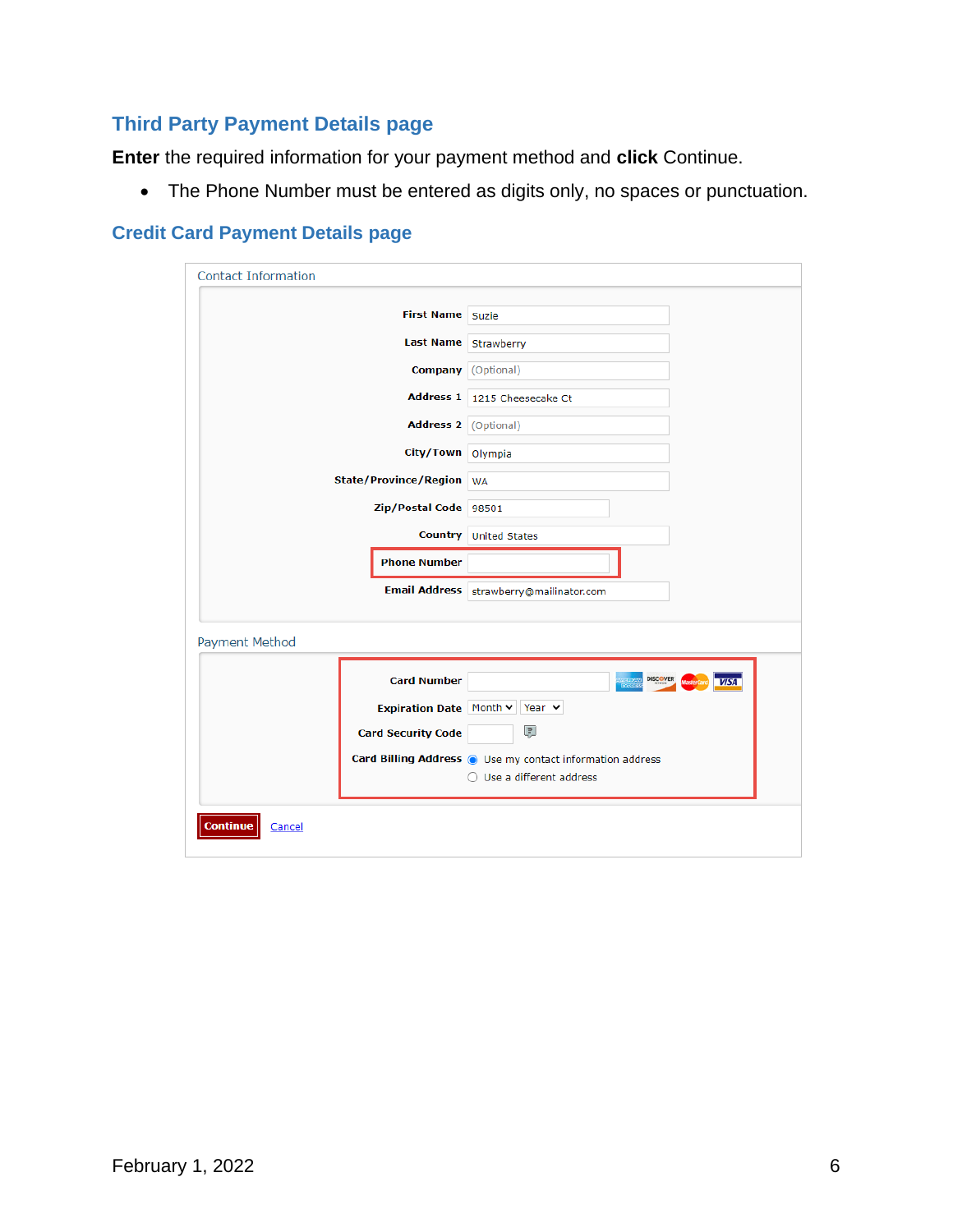## **Third Party Payment Details page**

**Enter** the required information for your payment method and **click** Continue.

• The Phone Number must be entered as digits only, no spaces or punctuation.

## **Credit Card Payment Details page**

| <b>Contact Information</b>   |                                                                                          |
|------------------------------|------------------------------------------------------------------------------------------|
| First Name Suzie             |                                                                                          |
| Last Name Strawberry         |                                                                                          |
|                              | <b>Company</b> (Optional)                                                                |
|                              | Address 1 1215 Cheesecake Ct                                                             |
| Address 2 (Optional)         |                                                                                          |
| City/Town Olympia            |                                                                                          |
| <b>State/Province/Region</b> | <b>WA</b>                                                                                |
| Zip/Postal Code 98501        |                                                                                          |
|                              | <b>Country</b> United States                                                             |
| <b>Phone Number</b>          |                                                                                          |
|                              | Email Address strawberry@mailinator.com                                                  |
| Payment Method               |                                                                                          |
| <b>Card Number</b>           | <b>DISCOVER</b><br><b>VISA</b>                                                           |
|                              | Expiration Date Month v Year v                                                           |
| <b>Card Security Code</b>    | ₽                                                                                        |
|                              | Card Billing Address (a) Use my contact information address<br>○ Use a different address |
| <b>Continue</b><br>Cancel    |                                                                                          |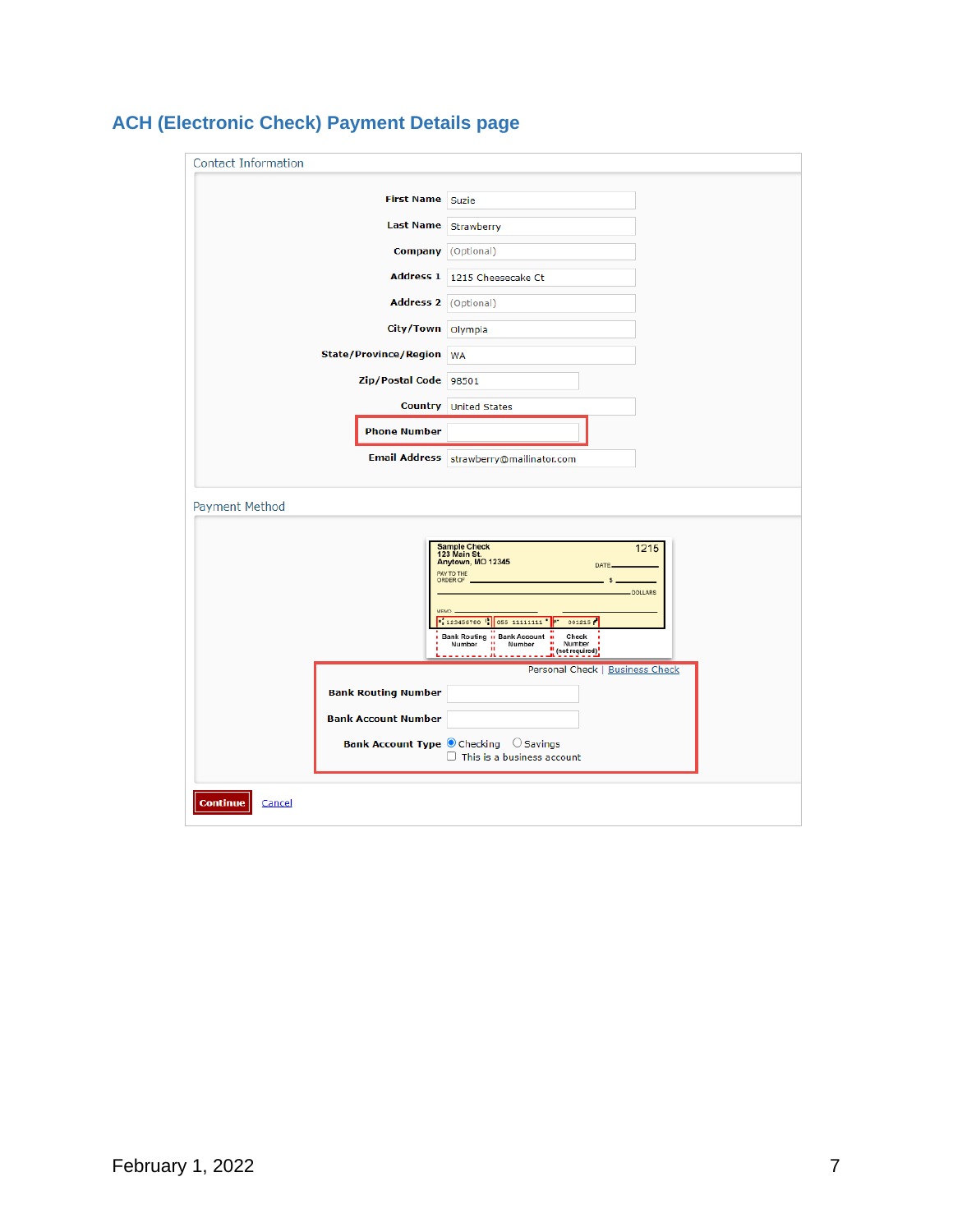| <b>Contact Information</b>                               |                                                                                                                                                                                                                                                                                                                                                               |
|----------------------------------------------------------|---------------------------------------------------------------------------------------------------------------------------------------------------------------------------------------------------------------------------------------------------------------------------------------------------------------------------------------------------------------|
|                                                          |                                                                                                                                                                                                                                                                                                                                                               |
| <b>First Name</b>                                        | Suzie                                                                                                                                                                                                                                                                                                                                                         |
| <b>Last Name</b>                                         | Strawberry                                                                                                                                                                                                                                                                                                                                                    |
|                                                          | <b>Company</b> (Optional)                                                                                                                                                                                                                                                                                                                                     |
| <b>Address 1</b>                                         | 1215 Cheesecake Ct                                                                                                                                                                                                                                                                                                                                            |
| Address 2 (Optional)                                     |                                                                                                                                                                                                                                                                                                                                                               |
| City/Town Olympia                                        |                                                                                                                                                                                                                                                                                                                                                               |
| State/Province/Region WA                                 |                                                                                                                                                                                                                                                                                                                                                               |
| Zip/Postal Code 98501                                    |                                                                                                                                                                                                                                                                                                                                                               |
| <b>Country</b>                                           | <b>United States</b>                                                                                                                                                                                                                                                                                                                                          |
| <b>Phone Number</b>                                      |                                                                                                                                                                                                                                                                                                                                                               |
| <b>Email Address</b>                                     | strawberry@mailinator.com                                                                                                                                                                                                                                                                                                                                     |
|                                                          |                                                                                                                                                                                                                                                                                                                                                               |
| Payment Method                                           |                                                                                                                                                                                                                                                                                                                                                               |
| <b>Bank Routing Number</b><br><b>Bank Account Number</b> | <b>Sample Check</b><br>1215<br>123 Main St.<br>Anytown, MO 12345<br>DATE.<br>PAY TO THE<br>ORDER OF<br>s<br>DOLLARS<br><b>MEMO</b><br>123456780 35 11111111 7<br>001215<br>Bank Routing in Bank Account in<br>Check<br>Number<br>Number<br>$\mathbf{u}$<br>Number<br>$\mathbf{u}$<br>(not required)<br>------ <b>-----</b><br>Personal Check   Business Check |
|                                                          | Bank Account Type O Checking O Savings<br>$\Box$ This is a business account                                                                                                                                                                                                                                                                                   |
| <b>Continue</b><br>Cancel                                |                                                                                                                                                                                                                                                                                                                                                               |

# **ACH (Electronic Check) Payment Details page**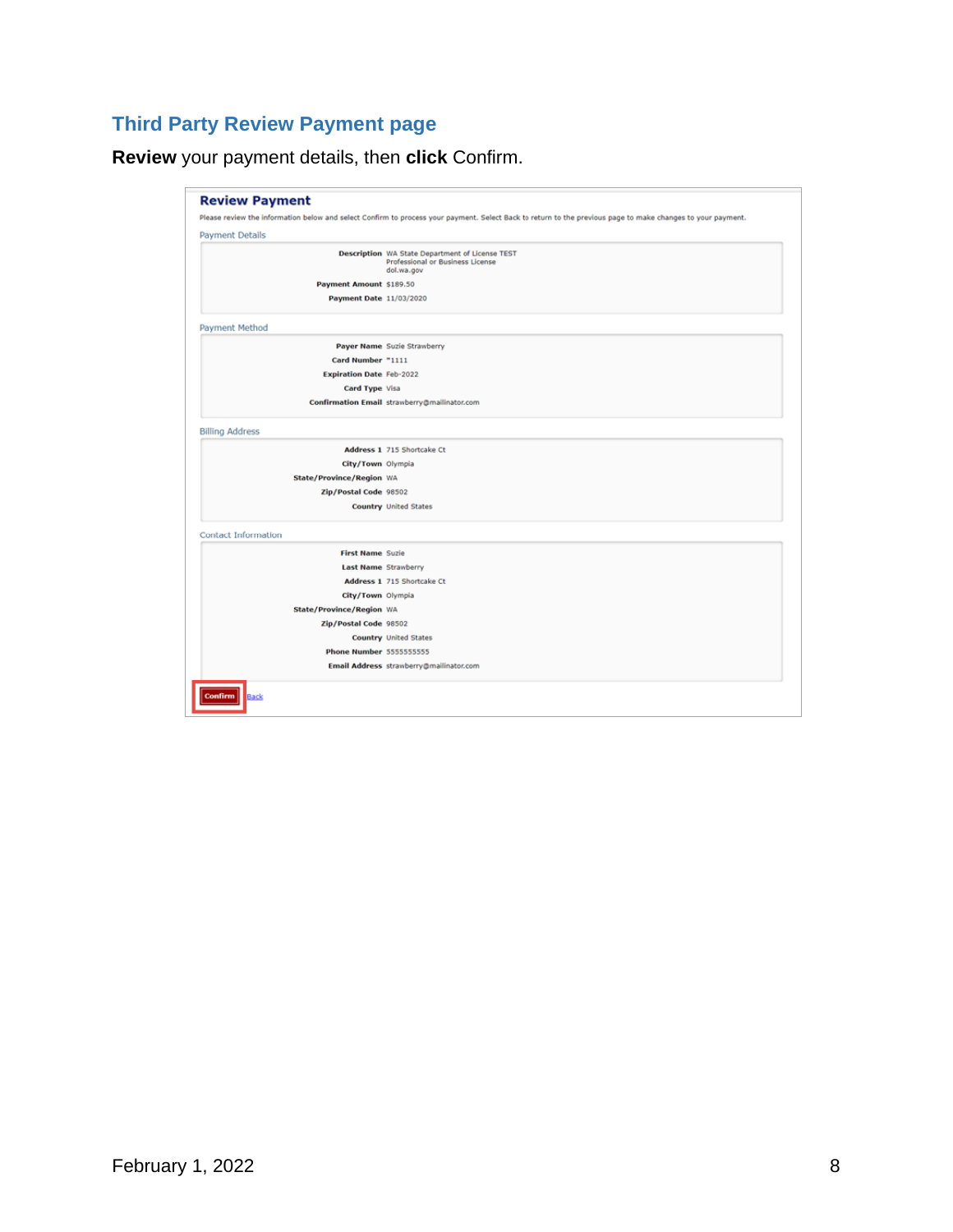# **Third Party Review Payment page**

**Review** your payment details, then **click** Confirm.

|                                 | Please review the information below and select Confirm to process your payment. Select Back to return to the previous page to make changes to your payment. |
|---------------------------------|-------------------------------------------------------------------------------------------------------------------------------------------------------------|
| <b>Payment Details</b>          |                                                                                                                                                             |
|                                 | <b>Description</b> WA State Department of License TEST<br>Professional or Business License<br>dol.wa.gov                                                    |
| Payment Amount \$189.50         |                                                                                                                                                             |
| Payment Date 11/03/2020         |                                                                                                                                                             |
| Payment Method                  |                                                                                                                                                             |
|                                 | Payer Name Suzie Strawberry                                                                                                                                 |
| Card Number "1111               |                                                                                                                                                             |
| <b>Expiration Date Feb-2022</b> |                                                                                                                                                             |
| Card Type Visa                  |                                                                                                                                                             |
|                                 | Confirmation Email strawberry@mailinator.com                                                                                                                |
| <b>Billing Address</b>          |                                                                                                                                                             |
|                                 | Address 1 715 Shortcake Ct                                                                                                                                  |
| City/Town Olympia               |                                                                                                                                                             |
| State/Province/Region WA        |                                                                                                                                                             |
| Zip/Postal Code 98502           |                                                                                                                                                             |
|                                 | <b>Country United States</b>                                                                                                                                |
| <b>Contact Information</b>      |                                                                                                                                                             |
| <b>First Name Suzie</b>         |                                                                                                                                                             |
| <b>Last Name Strawberry</b>     |                                                                                                                                                             |
|                                 | Address 1 715 Shortcake Ct                                                                                                                                  |
| City/Town Olympia               |                                                                                                                                                             |
| State/Province/Region WA        |                                                                                                                                                             |
| Zip/Postal Code 98502           |                                                                                                                                                             |
|                                 | <b>Country United States</b>                                                                                                                                |
| <b>Phone Number 5555555555</b>  |                                                                                                                                                             |
|                                 | Email Address strawberry@mailinator.com                                                                                                                     |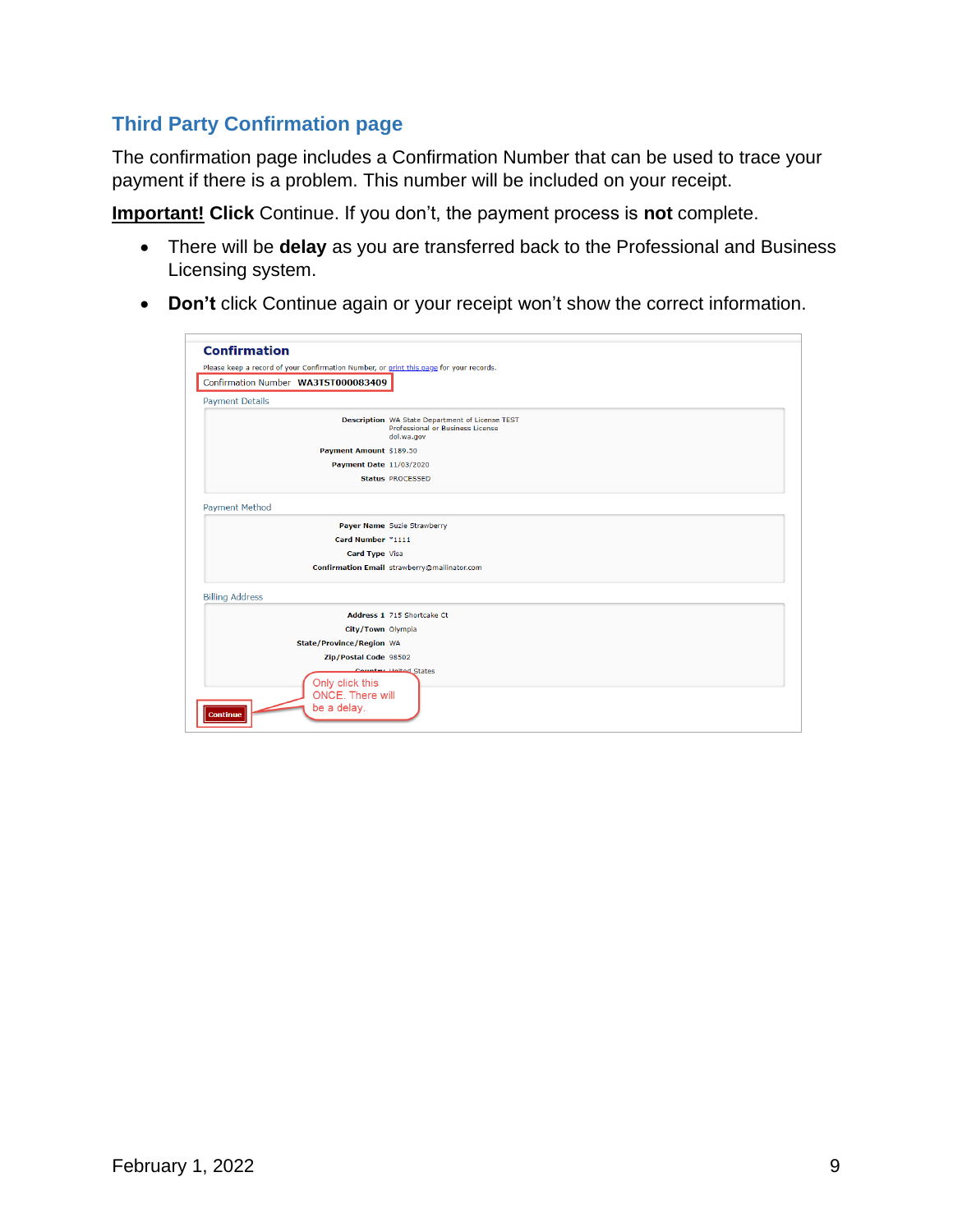# **Third Party Confirmation page**

The confirmation page includes a Confirmation Number that can be used to trace your payment if there is a problem. This number will be included on your receipt.

**Important! Click** Continue. If you don't, the payment process is **not** complete.

- There will be **delay** as you are transferred back to the Professional and Business Licensing system.
- **Don't** click Continue again or your receipt won't show the correct information.

| <b>Confirmation</b>                                                                    |                                                                                                   |
|----------------------------------------------------------------------------------------|---------------------------------------------------------------------------------------------------|
| Please keep a record of your Confirmation Number, or print this page for your records. |                                                                                                   |
| Confirmation Number WA3TST000083409                                                    |                                                                                                   |
| <b>Payment Details</b>                                                                 |                                                                                                   |
|                                                                                        |                                                                                                   |
|                                                                                        | Description WA State Department of License TEST<br>Professional or Business License<br>dol.wa.gov |
| Payment Amount \$189.50                                                                |                                                                                                   |
| Payment Date 11/03/2020                                                                |                                                                                                   |
|                                                                                        | <b>Status PROCESSED</b>                                                                           |
| <b>Payment Method</b>                                                                  |                                                                                                   |
|                                                                                        | Payer Name Suzie Strawberry                                                                       |
| Card Number *1111                                                                      |                                                                                                   |
| Card Type Visa                                                                         |                                                                                                   |
|                                                                                        | Confirmation Email strawberry@mailinator.com                                                      |
| <b>Billing Address</b>                                                                 |                                                                                                   |
|                                                                                        | Address 1 715 Shortcake Ct                                                                        |
| City/Town Olympia                                                                      |                                                                                                   |
| <b>State/Province/Region WA</b>                                                        |                                                                                                   |
| Zip/Postal Code 98502                                                                  |                                                                                                   |
|                                                                                        | Counter Holted States                                                                             |
| Only click this                                                                        |                                                                                                   |
| <b>ONCE.</b> There will<br>be a delay.                                                 |                                                                                                   |
| <b>Continue</b>                                                                        |                                                                                                   |
|                                                                                        |                                                                                                   |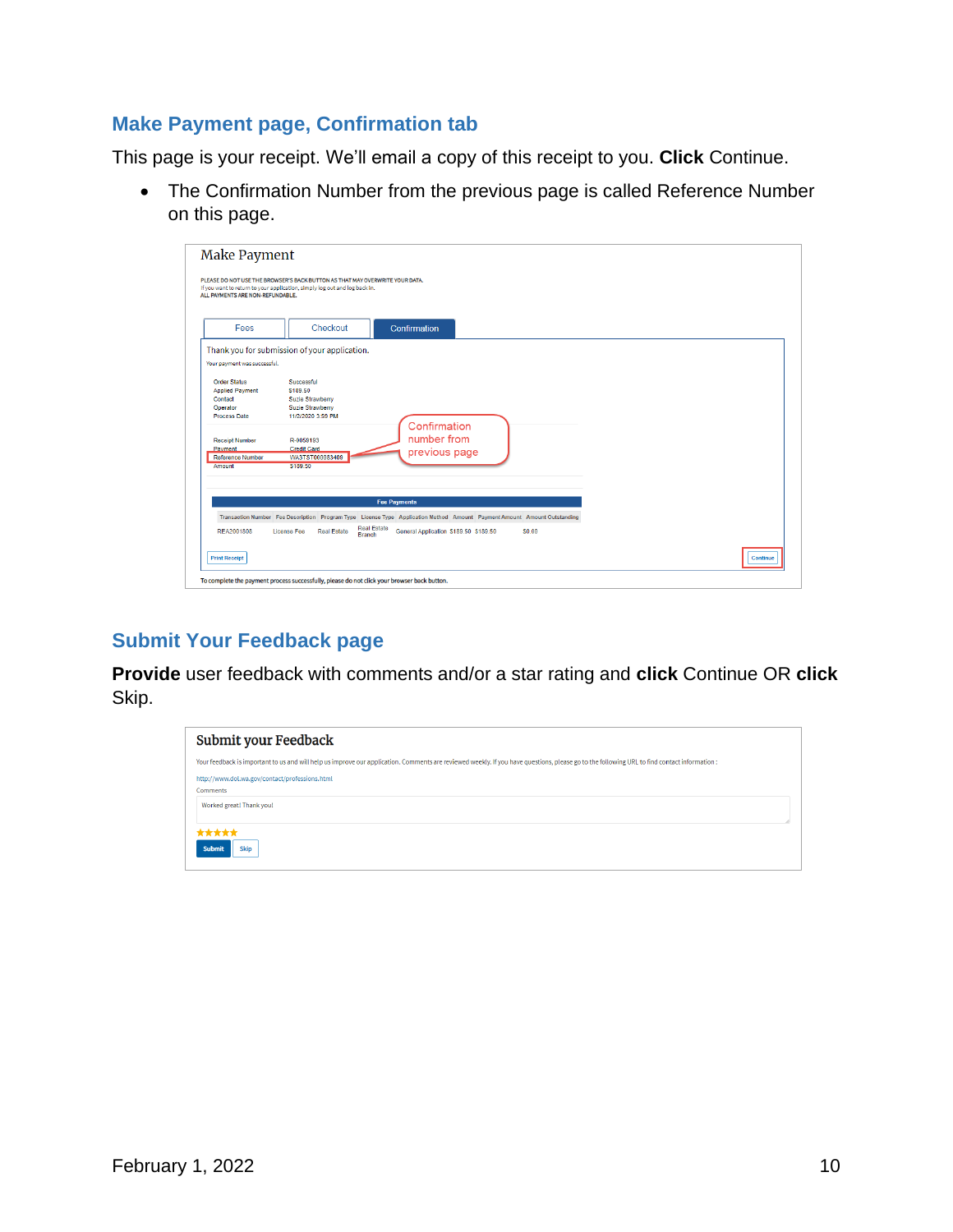## **Make Payment page, Confirmation tab**

This page is your receipt. We'll email a copy of this receipt to you. **Click** Continue.

• The Confirmation Number from the previous page is called Reference Number on this page.

| Fees                                                                 | Checkout                                                                                                                 | Confirmation  |  |  |
|----------------------------------------------------------------------|--------------------------------------------------------------------------------------------------------------------------|---------------|--|--|
|                                                                      | Thank you for submission of your application.                                                                            |               |  |  |
| Your payment was successful.                                         |                                                                                                                          |               |  |  |
| <b>Order Status</b><br><b>Applied Payment</b><br>Contact<br>Operator | Successful<br>\$189.50<br><b>Suzie Strawberry</b><br><b>Suzie Strawberry</b>                                             |               |  |  |
| <b>Process Date</b>                                                  | 11/2/2020 3:59 PM                                                                                                        | Confirmation  |  |  |
| <b>Receipt Number</b><br>Payment                                     | R-0059193<br><b>Credit Card</b>                                                                                          | number from   |  |  |
| <b>Reference Number</b>                                              | WA3TST000083409                                                                                                          | previous page |  |  |
| Amount                                                               | \$189.50                                                                                                                 |               |  |  |
|                                                                      |                                                                                                                          |               |  |  |
|                                                                      | <b>Fee Payments</b>                                                                                                      |               |  |  |
|                                                                      | Transaction Number Fee Description Program Type License Type Application Method Amount Payment Amount Amount Outstanding |               |  |  |
|                                                                      |                                                                                                                          |               |  |  |

## **Submit Your Feedback page**

**Provide** user feedback with comments and/or a star rating and **click** Continue OR **click** Skip.

| Submit your Feedback                                                                                                                                                                        |  |  |  |  |  |
|---------------------------------------------------------------------------------------------------------------------------------------------------------------------------------------------|--|--|--|--|--|
| Your feedback is important to us and will help us improve our application. Comments are reviewed weekly. If you have questions, please go to the following URL to find contact information: |  |  |  |  |  |
| http://www.dol.wa.gov/contact/professions.html<br><b>Comments</b>                                                                                                                           |  |  |  |  |  |
| Worked great! Thank you!                                                                                                                                                                    |  |  |  |  |  |
| *****<br><b>Skip</b><br><b>Submit</b>                                                                                                                                                       |  |  |  |  |  |